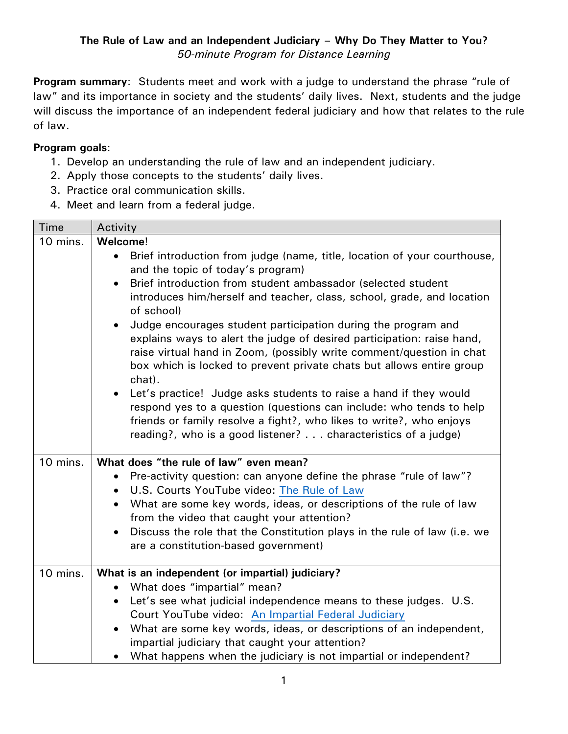**Program summary**: Students meet and work with a judge to understand the phrase "rule of law" and its importance in society and the students' daily lives. Next, students and the judge will discuss the importance of an independent federal judiciary and how that relates to the rule of law.

## **Program goals**:

- 1. Develop an understanding the rule of law and an independent judiciary.
- 2. Apply those concepts to the students' daily lives.
- 3. Practice oral communication skills.
- 4. Meet and learn from a federal judge.

| <b>Time</b> | Activity                                                                                                                                                                                                                                                                                                                                                                                                                                                                                                                                                                                                                                                                                                                                                                                                                                                                                                           |
|-------------|--------------------------------------------------------------------------------------------------------------------------------------------------------------------------------------------------------------------------------------------------------------------------------------------------------------------------------------------------------------------------------------------------------------------------------------------------------------------------------------------------------------------------------------------------------------------------------------------------------------------------------------------------------------------------------------------------------------------------------------------------------------------------------------------------------------------------------------------------------------------------------------------------------------------|
| 10 mins.    | Welcome!                                                                                                                                                                                                                                                                                                                                                                                                                                                                                                                                                                                                                                                                                                                                                                                                                                                                                                           |
|             | Brief introduction from judge (name, title, location of your courthouse,<br>$\bullet$<br>and the topic of today's program)<br>Brief introduction from student ambassador (selected student<br>$\bullet$<br>introduces him/herself and teacher, class, school, grade, and location<br>of school)<br>Judge encourages student participation during the program and<br>$\bullet$<br>explains ways to alert the judge of desired participation: raise hand,<br>raise virtual hand in Zoom, (possibly write comment/question in chat<br>box which is locked to prevent private chats but allows entire group<br>chat).<br>Let's practice! Judge asks students to raise a hand if they would<br>$\bullet$<br>respond yes to a question (questions can include: who tends to help<br>friends or family resolve a fight?, who likes to write?, who enjoys<br>reading?, who is a good listener? characteristics of a judge) |
| 10 mins.    | What does "the rule of law" even mean?                                                                                                                                                                                                                                                                                                                                                                                                                                                                                                                                                                                                                                                                                                                                                                                                                                                                             |
|             | Pre-activity question: can anyone define the phrase "rule of law"?<br>$\bullet$                                                                                                                                                                                                                                                                                                                                                                                                                                                                                                                                                                                                                                                                                                                                                                                                                                    |
|             | U.S. Courts YouTube video: The Rule of Law<br>$\bullet$                                                                                                                                                                                                                                                                                                                                                                                                                                                                                                                                                                                                                                                                                                                                                                                                                                                            |
|             | What are some key words, ideas, or descriptions of the rule of law<br>$\bullet$<br>from the video that caught your attention?                                                                                                                                                                                                                                                                                                                                                                                                                                                                                                                                                                                                                                                                                                                                                                                      |
|             | Discuss the role that the Constitution plays in the rule of law (i.e. we<br>$\bullet$                                                                                                                                                                                                                                                                                                                                                                                                                                                                                                                                                                                                                                                                                                                                                                                                                              |
|             | are a constitution-based government)                                                                                                                                                                                                                                                                                                                                                                                                                                                                                                                                                                                                                                                                                                                                                                                                                                                                               |
|             |                                                                                                                                                                                                                                                                                                                                                                                                                                                                                                                                                                                                                                                                                                                                                                                                                                                                                                                    |
| 10 mins.    | What is an independent (or impartial) judiciary?                                                                                                                                                                                                                                                                                                                                                                                                                                                                                                                                                                                                                                                                                                                                                                                                                                                                   |
|             | What does "impartial" mean?<br>$\bullet$                                                                                                                                                                                                                                                                                                                                                                                                                                                                                                                                                                                                                                                                                                                                                                                                                                                                           |
|             | Let's see what judicial independence means to these judges. U.S.<br>$\bullet$                                                                                                                                                                                                                                                                                                                                                                                                                                                                                                                                                                                                                                                                                                                                                                                                                                      |
|             | Court YouTube video: An Impartial Federal Judiciary                                                                                                                                                                                                                                                                                                                                                                                                                                                                                                                                                                                                                                                                                                                                                                                                                                                                |
|             | What are some key words, ideas, or descriptions of an independent,<br>$\bullet$                                                                                                                                                                                                                                                                                                                                                                                                                                                                                                                                                                                                                                                                                                                                                                                                                                    |
|             | impartial judiciary that caught your attention?                                                                                                                                                                                                                                                                                                                                                                                                                                                                                                                                                                                                                                                                                                                                                                                                                                                                    |
|             | What happens when the judiciary is not impartial or independent?                                                                                                                                                                                                                                                                                                                                                                                                                                                                                                                                                                                                                                                                                                                                                                                                                                                   |